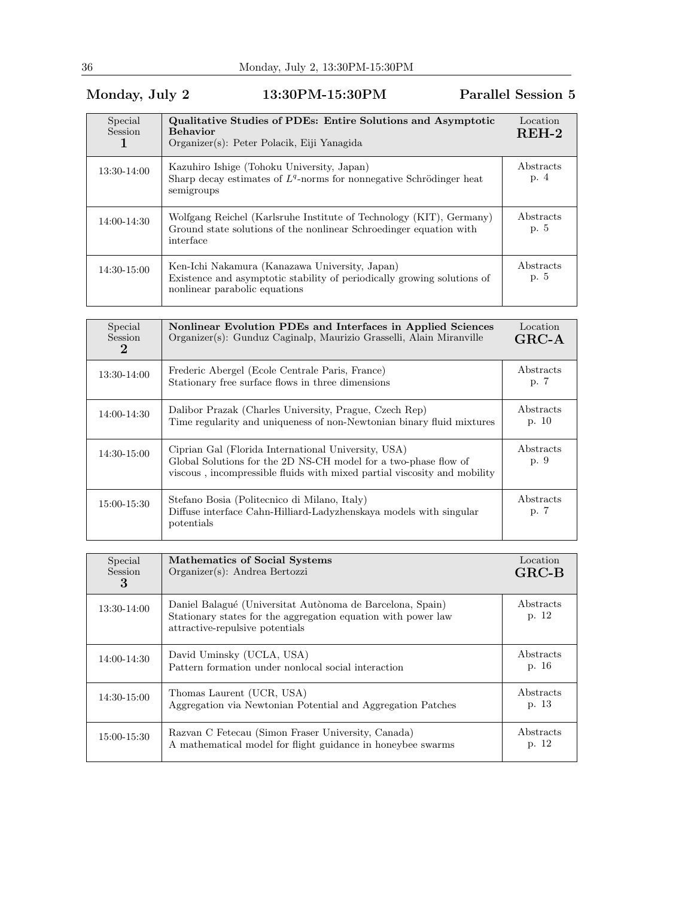## Monday, July 2 13:30PM-15:30PM Parallel Session 5

| Special<br><b>Session</b> | Qualitative Studies of PDEs: Entire Solutions and Asymptotic<br><b>Behavior</b><br>Organizer(s): Peter Polacik, Eiji Yanagida                              | Location<br>$REH-2$ |
|---------------------------|------------------------------------------------------------------------------------------------------------------------------------------------------------|---------------------|
| $13:30-14:00$             | Kazuhiro Ishige (Tohoku University, Japan)<br>Sharp decay estimates of $L^q$ -norms for nonnegative Schrödinger heat<br>semigroups                         | Abstracts<br>p. 4   |
| 14:00-14:30               | Wolfgang Reichel (Karlsruhe Institute of Technology (KIT), Germany)<br>Ground state solutions of the nonlinear Schroedinger equation with<br>interface     | Abstracts<br>p. 5   |
| 14:30-15:00               | Ken-Ichi Nakamura (Kanazawa University, Japan)<br>Existence and asymptotic stability of periodically growing solutions of<br>nonlinear parabolic equations | Abstracts<br>p. 5   |

| Special<br><b>Session</b><br>2 | Nonlinear Evolution PDEs and Interfaces in Applied Sciences<br>Organizer(s): Gunduz Caginalp, Maurizio Grasselli, Alain Miranville                                                                 | Location<br>$GRC-A$ |
|--------------------------------|----------------------------------------------------------------------------------------------------------------------------------------------------------------------------------------------------|---------------------|
| 13:30-14:00                    | Frederic Abergel (Ecole Centrale Paris, France)<br>Stationary free surface flows in three dimensions                                                                                               | Abstracts<br>p. 7   |
| 14:00-14:30                    | Dalibor Prazak (Charles University, Prague, Czech Rep)<br>Time regularity and uniqueness of non-Newtonian binary fluid mixtures                                                                    | Abstracts<br>p. 10  |
| 14:30-15:00                    | Ciprian Gal (Florida International University, USA)<br>Global Solutions for the 2D NS-CH model for a two-phase flow of<br>viscous, incompressible fluids with mixed partial viscosity and mobility | Abstracts<br>p. 9   |
| 15:00-15:30                    | Stefano Bosia (Politecnico di Milano, Italy)<br>Diffuse interface Cahn-Hilliard-Ladyzhenskaya models with singular<br>potentials                                                                   | Abstracts<br>p. 7   |

| Special<br><b>Session</b><br>3 | Mathematics of Social Systems<br>Organizer(s): Andrea Bertozzi                                                                                                | Location<br>$GRC-B$ |
|--------------------------------|---------------------------------------------------------------------------------------------------------------------------------------------------------------|---------------------|
| 13:30-14:00                    | Daniel Balagué (Universitat Autònoma de Barcelona, Spain)<br>Stationary states for the aggregation equation with power law<br>attractive-repulsive potentials | Abstracts<br>p. 12  |
| 14:00-14:30                    | David Uminsky (UCLA, USA)<br>Pattern formation under nonlocal social interaction                                                                              | Abstracts<br>p. 16  |
| 14:30-15:00                    | Thomas Laurent (UCR, USA)<br>Aggregation via Newtonian Potential and Aggregation Patches                                                                      | Abstracts<br>p. 13  |
| 15:00-15:30                    | Razvan C Fetecau (Simon Fraser University, Canada)<br>A mathematical model for flight guidance in honeybee swarms                                             | Abstracts<br>p. 12  |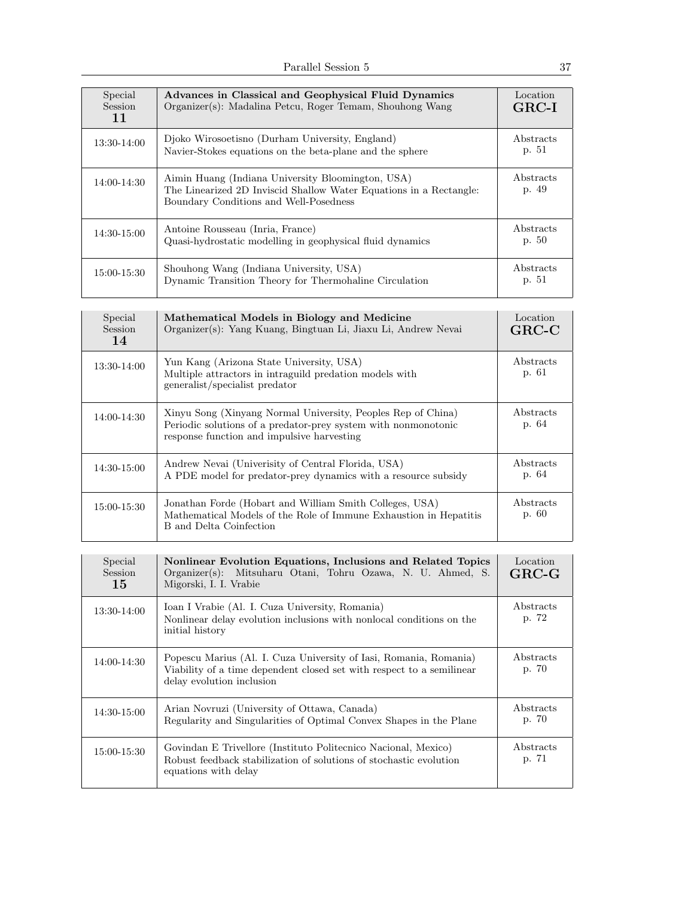| Special<br>Session<br>11 | Advances in Classical and Geophysical Fluid Dynamics<br>Organizer(s): Madalina Petcu, Roger Temam, Shouhong Wang                                                  | Location<br>$GRC-I$ |
|--------------------------|-------------------------------------------------------------------------------------------------------------------------------------------------------------------|---------------------|
| 13:30-14:00              | Djoko Wirosoetisno (Durham University, England)<br>Navier-Stokes equations on the beta-plane and the sphere                                                       | Abstracts<br>p. 51  |
| 14:00-14:30              | Aimin Huang (Indiana University Bloomington, USA)<br>The Linearized 2D Inviscid Shallow Water Equations in a Rectangle:<br>Boundary Conditions and Well-Posedness | Abstracts<br>p. 49  |
| 14:30-15:00              | Antoine Rousseau (Inria, France)<br>Quasi-hydrostatic modelling in geophysical fluid dynamics                                                                     | Abstracts<br>p. 50  |
| 15:00-15:30              | Shouhong Wang (Indiana University, USA)<br>Dynamic Transition Theory for Thermohaline Circulation                                                                 | Abstracts<br>p. 51  |

| Special<br>Session<br>14 | Mathematical Models in Biology and Medicine<br>Organizer(s): Yang Kuang, Bingtuan Li, Jiaxu Li, Andrew Nevai                                                                 | Location<br>$GRC-C$ |
|--------------------------|------------------------------------------------------------------------------------------------------------------------------------------------------------------------------|---------------------|
| 13:30-14:00              | Yun Kang (Arizona State University, USA)<br>Multiple attractors in intraguild predation models with<br>generalist/specialist predator                                        | Abstracts<br>p. 61  |
| 14:00-14:30              | Xinyu Song (Xinyang Normal University, Peoples Rep of China)<br>Periodic solutions of a predator-prey system with nonmonotonic<br>response function and impulsive harvesting | Abstracts<br>p. 64  |
| 14:30-15:00              | Andrew Nevai (University of Central Florida, USA)<br>A PDE model for predator-prey dynamics with a resource subsidy                                                          | Abstracts<br>p. 64  |
| 15:00-15:30              | Jonathan Forde (Hobart and William Smith Colleges, USA)<br>Mathematical Models of the Role of Immune Exhaustion in Hepatitis<br>B and Delta Coinfection                      | Abstracts<br>p. 60  |

| Special<br><b>Session</b><br>15 | Nonlinear Evolution Equations, Inclusions and Related Topics<br>Organizer(s): Mitsuharu Otani, Tohru Ozawa, N. U. Ahmed, S.<br>Migorski, I. I. Vrabie                   | Location<br>$GRC-G$ |
|---------------------------------|-------------------------------------------------------------------------------------------------------------------------------------------------------------------------|---------------------|
| 13:30-14:00                     | Ioan I Vrabie (Al. I. Cuza University, Romania)<br>Nonlinear delay evolution inclusions with nonlocal conditions on the<br>initial history                              | Abstracts<br>p. 72  |
| 14:00-14:30                     | Popescu Marius (Al. I. Cuza University of Iasi, Romania, Romania)<br>Viability of a time dependent closed set with respect to a semilinear<br>delay evolution inclusion | Abstracts<br>p. 70  |
| 14:30-15:00                     | Arian Novruzi (University of Ottawa, Canada)<br>Regularity and Singularities of Optimal Convex Shapes in the Plane                                                      | Abstracts<br>p. 70  |
| 15:00-15:30                     | Govindan E Trivellore (Instituto Politecnico Nacional, Mexico)<br>Robust feedback stabilization of solutions of stochastic evolution<br>equations with delay            | Abstracts<br>p. 71  |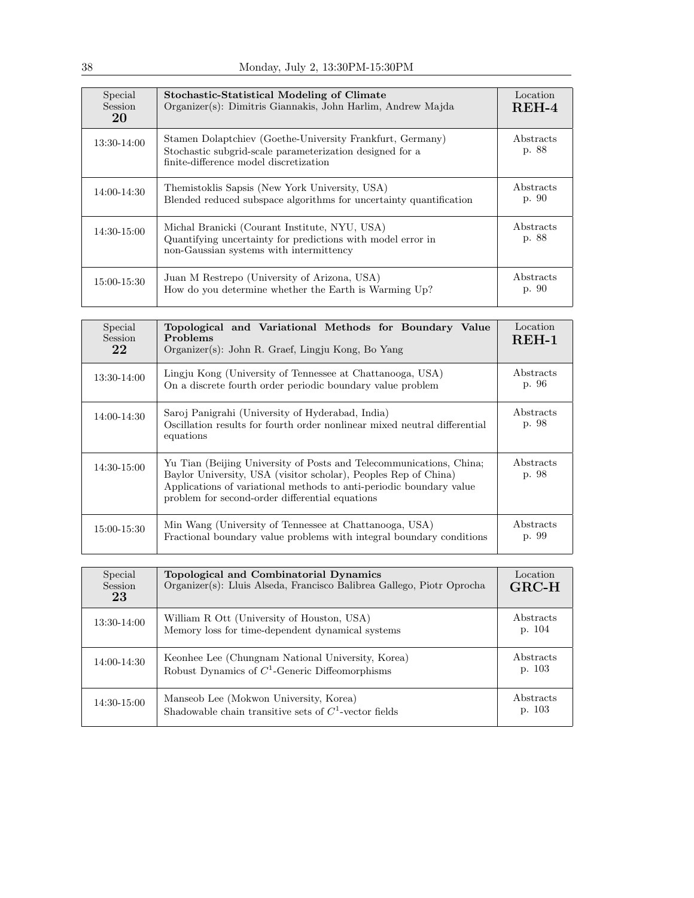| Special<br><b>Session</b><br>20 | <b>Stochastic-Statistical Modeling of Climate</b><br>Organizer(s): Dimitris Giannakis, John Harlim, Andrew Majda                                                | Location<br>$REH-4$ |
|---------------------------------|-----------------------------------------------------------------------------------------------------------------------------------------------------------------|---------------------|
| 13:30-14:00                     | Stamen Dolaptchiev (Goethe-University Frankfurt, Germany)<br>Stochastic subgrid-scale parameterization designed for a<br>finite-difference model discretization | Abstracts<br>p. 88  |
| 14:00-14:30                     | Themistoklis Sapsis (New York University, USA)<br>Blended reduced subspace algorithms for uncertainty quantification                                            | Abstracts<br>p. 90  |
| 14:30-15:00                     | Michal Branicki (Courant Institute, NYU, USA)<br>Quantifying uncertainty for predictions with model error in<br>non-Gaussian systems with intermittency         | Abstracts<br>p. 88  |
| 15:00-15:30                     | Juan M Restrepo (University of Arizona, USA)<br>How do you determine whether the Earth is Warming Up?                                                           | Abstracts<br>p. 90  |

| Special<br><b>Session</b><br>22 | Topological and Variational Methods for Boundary Value<br>Problems<br>Organizer(s): John R. Graef, Lingju Kong, Bo Yang                                                                                                                                          | Location<br>$REH-1$ |
|---------------------------------|------------------------------------------------------------------------------------------------------------------------------------------------------------------------------------------------------------------------------------------------------------------|---------------------|
| 13:30-14:00                     | Lingju Kong (University of Tennessee at Chattanooga, USA)<br>On a discrete fourth order periodic boundary value problem                                                                                                                                          | Abstracts<br>p. 96  |
| 14:00-14:30                     | Saroj Panigrahi (University of Hyderabad, India)<br>Oscillation results for fourth order nonlinear mixed neutral differential<br>equations                                                                                                                       | Abstracts<br>p. 98  |
| 14:30-15:00                     | Yu Tian (Beijing University of Posts and Telecommunications, China;<br>Baylor University, USA (visitor scholar), Peoples Rep of China)<br>Applications of variational methods to anti-periodic boundary value<br>problem for second-order differential equations | Abstracts<br>p. 98  |
| $15:00 - 15:30$                 | Min Wang (University of Tennessee at Chattanooga, USA)<br>Fractional boundary value problems with integral boundary conditions                                                                                                                                   | Abstracts<br>p. 99  |

| Special<br><b>Session</b><br>23 | Topological and Combinatorial Dynamics<br>Organizer(s): Lluis Alseda, Francisco Balibrea Gallego, Piotr Oprocha | Location<br>$GRC-H$ |
|---------------------------------|-----------------------------------------------------------------------------------------------------------------|---------------------|
| 13:30-14:00                     | William R Ott (University of Houston, USA)<br>Memory loss for time-dependent dynamical systems                  | Abstracts<br>p. 104 |
| 14:00-14:30                     | Keonhee Lee (Chungnam National University, Korea)<br>Robust Dynamics of $C^1$ -Generic Diffeomorphisms          | Abstracts<br>p. 103 |
| 14:30-15:00                     | Manseob Lee (Mokwon University, Korea)<br>Shadowable chain transitive sets of $C^1$ -vector fields              | Abstracts<br>p. 103 |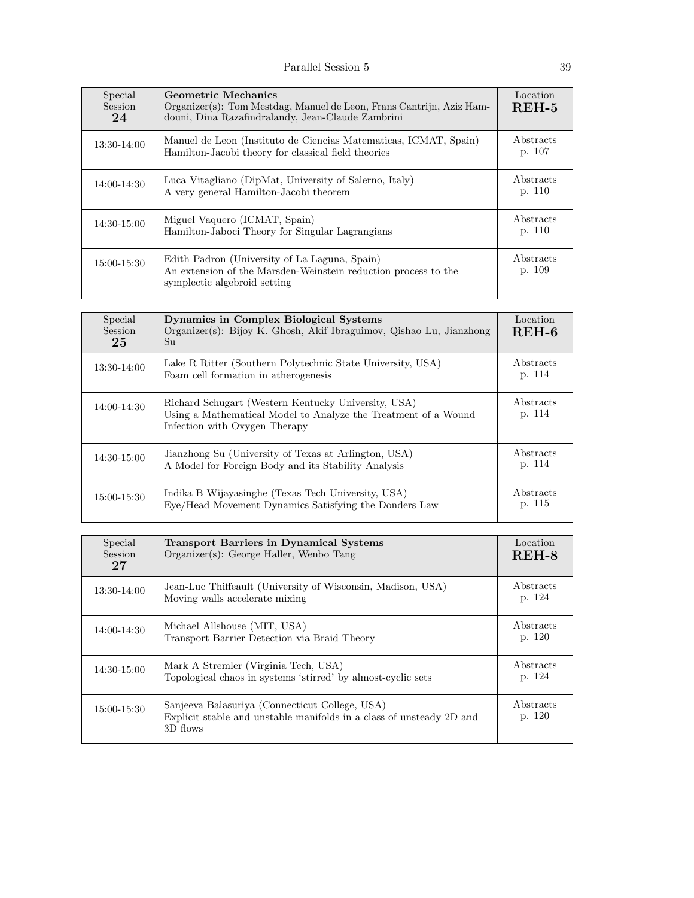| Special<br>Session<br>24 | Geometric Mechanics<br>Organizer(s): Tom Mestdag, Manuel de Leon, Frans Cantrijn, Aziz Ham-<br>douni, Dina Razafindralandy, Jean-Claude Zambrini | Location<br>$REH-5$        |
|--------------------------|--------------------------------------------------------------------------------------------------------------------------------------------------|----------------------------|
| 13:30-14:00              | Manuel de Leon (Instituto de Ciencias Matematicas, ICMAT, Spain)<br>Hamilton-Jacobi theory for classical field theories                          | Abstracts<br>p. 107        |
| 14:00-14:30              | Luca Vitagliano (DipMat, University of Salerno, Italy)<br>A very general Hamilton-Jacobi theorem                                                 | Abstracts<br>p. 110        |
| 14:30-15:00              | Miguel Vaquero (ICMAT, Spain)<br>Hamilton-Jaboci Theory for Singular Lagrangians                                                                 | Abstracts<br>p. 110        |
| 15:00-15:30              | Edith Padron (University of La Laguna, Spain)<br>An extension of the Marsden-Weinstein reduction process to the<br>symplectic algebroid setting  | <i>Abstracts</i><br>p. 109 |

| Special<br>Session<br>25 | Dynamics in Complex Biological Systems<br>Organizer(s): Bijoy K. Ghosh, Akif Ibraguimov, Qishao Lu, Jianzhong<br>Su                                    | Location<br>$REH-6$ |
|--------------------------|--------------------------------------------------------------------------------------------------------------------------------------------------------|---------------------|
| 13:30-14:00              | Lake R Ritter (Southern Polytechnic State University, USA)<br>Foam cell formation in atherogenesis                                                     | Abstracts<br>p. 114 |
| 14:00-14:30              | Richard Schugart (Western Kentucky University, USA)<br>Using a Mathematical Model to Analyze the Treatment of a Wound<br>Infection with Oxygen Therapy | Abstracts<br>p. 114 |
| 14:30-15:00              | Jianzhong Su (University of Texas at Arlington, USA)<br>A Model for Foreign Body and its Stability Analysis                                            | Abstracts<br>p. 114 |
| 15:00-15:30              | Indika B Wijayasinghe (Texas Tech University, USA)<br>Eye/Head Movement Dynamics Satisfying the Donders Law                                            | Abstracts<br>p. 115 |

| Special<br><b>Session</b><br>$27\,$ | <b>Transport Barriers in Dynamical Systems</b><br>Organizer(s): George Haller, Wenbo Tang                                          | Location<br>$REH-8$ |
|-------------------------------------|------------------------------------------------------------------------------------------------------------------------------------|---------------------|
| 13:30-14:00                         | Jean-Luc Thiffeault (University of Wisconsin, Madison, USA)<br>Moving walls accelerate mixing                                      | Abstracts<br>p. 124 |
| 14:00-14:30                         | Michael Allshouse (MIT, USA)<br>Transport Barrier Detection via Braid Theory                                                       | Abstracts<br>p. 120 |
| 14:30-15:00                         | Mark A Stremler (Virginia Tech, USA)<br>Topological chaos in systems 'stirred' by almost-cyclic sets                               | Abstracts<br>p. 124 |
| 15:00-15:30                         | Sanjeeva Balasuriya (Connecticut College, USA)<br>Explicit stable and unstable manifolds in a class of unsteady 2D and<br>3D flows | Abstracts<br>p. 120 |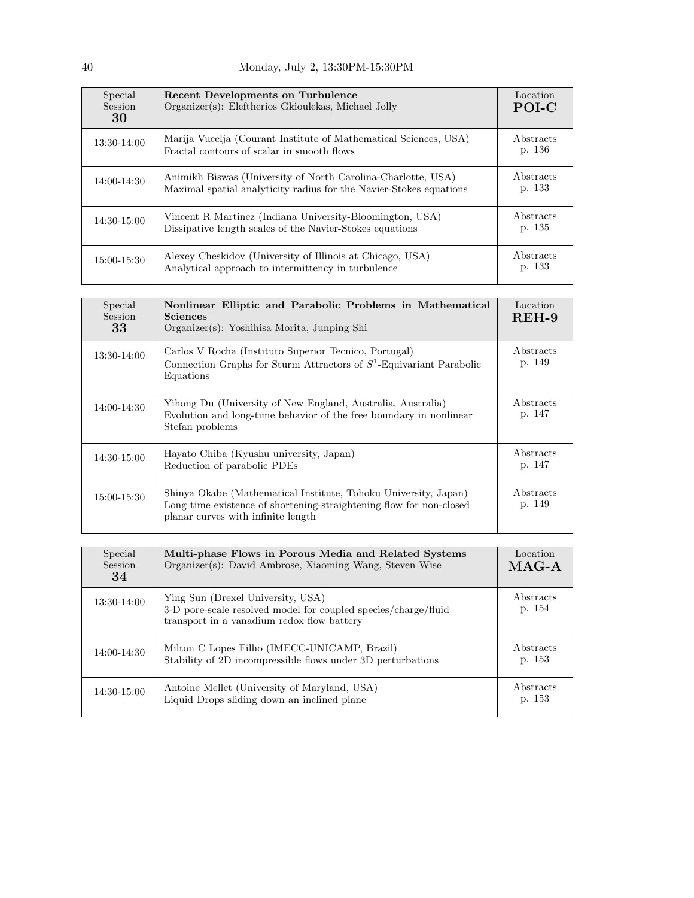| Special<br>Session<br>30 | Recent Developments on Turbulence<br>Organizer(s): Eleftherios Gkioulekas, Michael Jolly                                           | Location<br>POI-C   |
|--------------------------|------------------------------------------------------------------------------------------------------------------------------------|---------------------|
| 13:30-14:00              | Marija Vucelja (Courant Institute of Mathematical Sciences, USA)<br>Fractal contours of scalar in smooth flows                     | Abstracts<br>p. 136 |
| 14:00-14:30              | Animikh Biswas (University of North Carolina-Charlotte, USA)<br>Maximal spatial analyticity radius for the Navier-Stokes equations | Abstracts<br>p. 133 |
| $14:30-15:00$            | Vincent R Martinez (Indiana University-Bloomington, USA)<br>Dissipative length scales of the Navier-Stokes equations               | Abstracts<br>p. 135 |
| 15:00-15:30              | Alexey Cheskidov (University of Illinois at Chicago, USA)<br>Analytical approach to intermittency in turbulence                    | Abstracts<br>p. 133 |

| Special<br><b>Session</b><br>33 | Nonlinear Elliptic and Parabolic Problems in Mathematical<br><b>Sciences</b><br>Organizer(s): Yoshihisa Morita, Junping Shi                                                  | Location<br>$REH-9$ |
|---------------------------------|------------------------------------------------------------------------------------------------------------------------------------------------------------------------------|---------------------|
| 13:30-14:00                     | Carlos V Rocha (Instituto Superior Tecnico, Portugal)<br>Connection Graphs for Sturm Attractors of $S^1$ -Equivariant Parabolic<br>Equations                                 | Abstracts<br>p. 149 |
| 14:00-14:30                     | Yihong Du (University of New England, Australia, Australia)<br>Evolution and long-time behavior of the free boundary in nonlinear<br>Stefan problems                         | Abstracts<br>p. 147 |
| 14:30-15:00                     | Hayato Chiba (Kyushu university, Japan)<br>Reduction of parabolic PDEs                                                                                                       | Abstracts<br>p. 147 |
| 15:00-15:30                     | Shinya Okabe (Mathematical Institute, Tohoku University, Japan)<br>Long time existence of shortening-straightening flow for non-closed<br>planar curves with infinite length | Abstracts<br>p. 149 |

| Special<br>Session<br>34 | Multi-phase Flows in Porous Media and Related Systems<br>Organizer(s): David Ambrose, Xiaoming Wang, Steven Wise                                  | Location<br>$MAG-A$ |
|--------------------------|---------------------------------------------------------------------------------------------------------------------------------------------------|---------------------|
| 13:30-14:00              | Ying Sun (Drexel University, USA)<br>3-D pore-scale resolved model for coupled species/charge/fluid<br>transport in a vanadium redox flow battery | Abstracts<br>p. 154 |
| 14:00-14:30              | Milton C Lopes Filho (IMECC-UNICAMP, Brazil)<br>Stability of 2D incompressible flows under 3D perturbations                                       | Abstracts<br>p. 153 |
| 14:30-15:00              | Antoine Mellet (University of Maryland, USA)<br>Liquid Drops sliding down an inclined plane                                                       | Abstracts<br>p. 153 |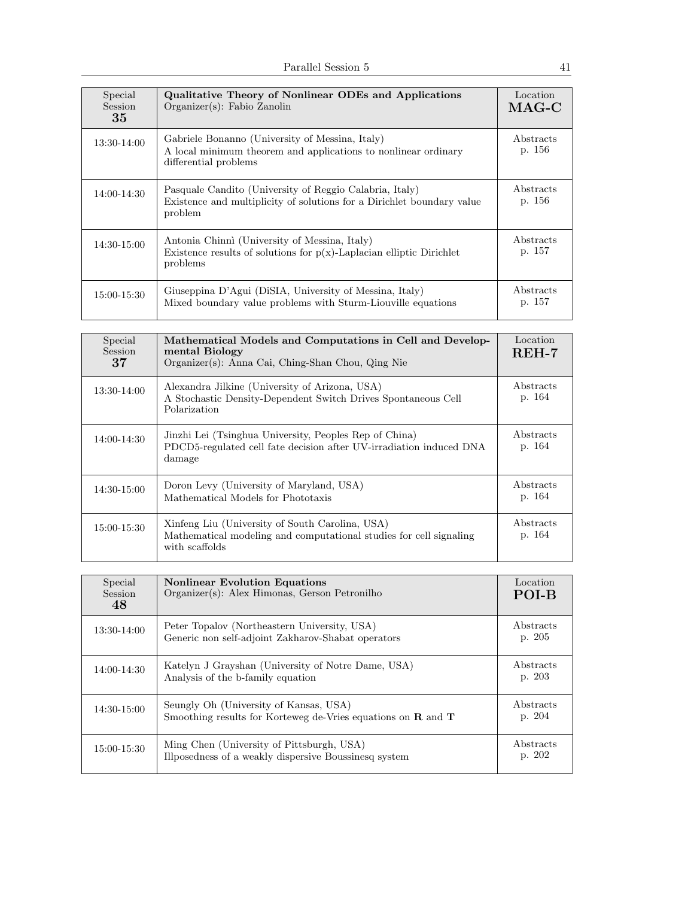| Special<br>Session<br>35 | Qualitative Theory of Nonlinear ODEs and Applications<br>$Organizer(s)$ : Fabio Zanolin                                                      | Location<br>$MAG-C$ |
|--------------------------|----------------------------------------------------------------------------------------------------------------------------------------------|---------------------|
| 13:30-14:00              | Gabriele Bonanno (University of Messina, Italy)<br>A local minimum theorem and applications to nonlinear ordinary<br>differential problems   | Abstracts<br>p. 156 |
| 14:00-14:30              | Pasquale Candito (University of Reggio Calabria, Italy)<br>Existence and multiplicity of solutions for a Dirichlet boundary value<br>problem | Abstracts<br>p. 156 |
| 14:30-15:00              | Antonia Chinni (University of Messina, Italy)<br>Existence results of solutions for $p(x)$ -Laplacian elliptic Dirichlet<br>problems         | Abstracts<br>p. 157 |
| 15:00-15:30              | Giuseppina D'Agui (DiSIA, University of Messina, Italy)<br>Mixed boundary value problems with Sturm-Liouville equations                      | Abstracts<br>p. 157 |

| Special<br><b>Session</b><br>37 | Mathematical Models and Computations in Cell and Develop-<br>mental Biology<br>Organizer(s): Anna Cai, Ching-Shan Chou, Qing Nie        | Location<br>REH-7   |
|---------------------------------|-----------------------------------------------------------------------------------------------------------------------------------------|---------------------|
| 13:30-14:00                     | Alexandra Jilkine (University of Arizona, USA)<br>A Stochastic Density-Dependent Switch Drives Spontaneous Cell<br>Polarization         | Abstracts<br>p. 164 |
| 14:00-14:30                     | Jinzhi Lei (Tsinghua University, Peoples Rep of China)<br>PDCD5-regulated cell fate decision after UV-irradiation induced DNA<br>damage | Abstracts<br>p. 164 |
| $14:30-15:00$                   | Doron Levy (University of Maryland, USA)<br>Mathematical Models for Phototaxis                                                          | Abstracts<br>p. 164 |
| 15:00-15:30                     | Xinfeng Liu (University of South Carolina, USA)<br>Mathematical modeling and computational studies for cell signaling<br>with scaffolds | Abstracts<br>p. 164 |

| Special<br>Session<br>48 | <b>Nonlinear Evolution Equations</b><br>Organizer(s): Alex Himonas, Gerson Petronilho                                | Location<br><b>POLB</b> |
|--------------------------|----------------------------------------------------------------------------------------------------------------------|-------------------------|
| 13:30-14:00              | Peter Topalov (Northeastern University, USA)<br>Generic non self-adjoint Zakharov-Shabat operators                   | Abstracts<br>p. 205     |
| $14:00 - 14:30$          | Katelyn J Grayshan (University of Notre Dame, USA)<br>Analysis of the b-family equation                              | Abstracts<br>p. 203     |
| 14:30-15:00              | Seungly Oh (University of Kansas, USA)<br>Smoothing results for Korteweg de-Vries equations on $\bf{R}$ and $\bf{T}$ | Abstracts<br>p. 204     |
| $15:00 - 15:30$          | Ming Chen (University of Pittsburgh, USA)<br>Illposedness of a weakly dispersive Boussinesq system                   | Abstracts<br>p. 202     |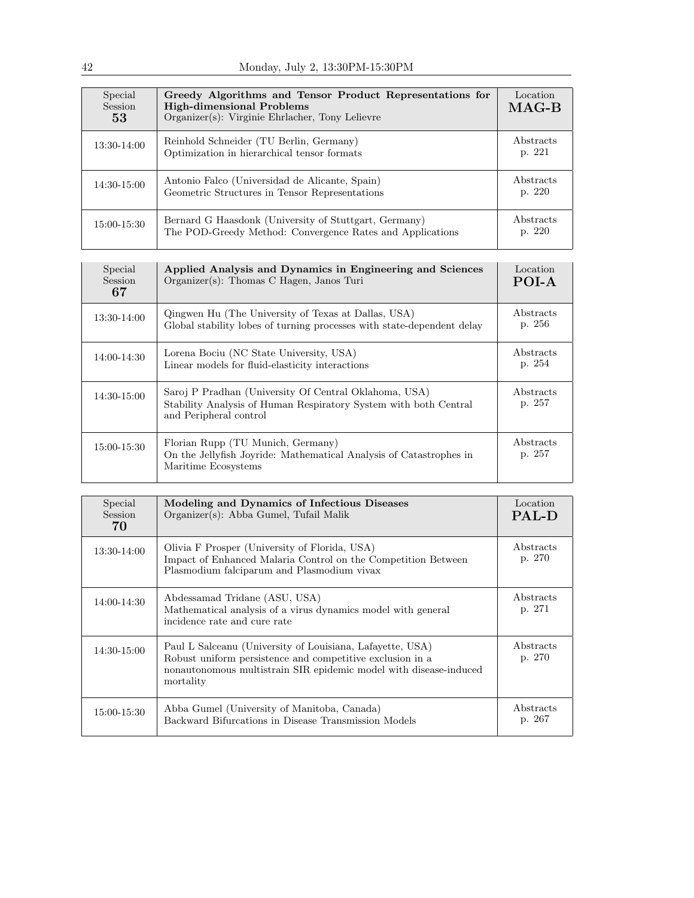| Special<br><b>Session</b><br>53 | Greedy Algorithms and Tensor Product Representations for<br><b>High-dimensional Problems</b><br>Organizer(s): Virginie Ehrlacher, Tony Lelievre | Location<br>$MAG-B$ |
|---------------------------------|-------------------------------------------------------------------------------------------------------------------------------------------------|---------------------|
| 13:30-14:00                     | Reinhold Schneider (TU Berlin, Germany)<br>Optimization in hierarchical tensor formats                                                          | Abstracts<br>p. 221 |
| 14:30-15:00                     | Antonio Falco (Universidad de Alicante, Spain)<br>Geometric Structures in Tensor Representations                                                | Abstracts<br>p. 220 |
| 15:00-15:30                     | Bernard G Haasdonk (University of Stuttgart, Germany)<br>The POD-Greedy Method: Convergence Rates and Applications                              | Abstracts<br>p. 220 |

| Special<br><b>Session</b><br>67 | Applied Analysis and Dynamics in Engineering and Sciences<br>Organizer(s): Thomas C Hagen, Janos Turi                                               | Location<br>POI-A   |
|---------------------------------|-----------------------------------------------------------------------------------------------------------------------------------------------------|---------------------|
| 13:30-14:00                     | Qingwen Hu (The University of Texas at Dallas, USA)<br>Global stability lobes of turning processes with state-dependent delay                       | Abstracts<br>p. 256 |
| 14:00-14:30                     | Lorena Bociu (NC State University, USA)<br>Linear models for fluid-elasticity interactions                                                          | Abstracts<br>p. 254 |
| $14:30-15:00$                   | Saroj P Pradhan (University Of Central Oklahoma, USA)<br>Stability Analysis of Human Respiratory System with both Central<br>and Peripheral control | Abstracts<br>p. 257 |
| 15:00-15:30                     | Florian Rupp (TU Munich, Germany)<br>On the Jellyfish Joyride: Mathematical Analysis of Catastrophes in<br>Maritime Ecosystems                      | Abstracts<br>p. 257 |

| Special<br><b>Session</b><br>70 | Modeling and Dynamics of Infectious Diseases<br>Organizer(s): Abba Gumel, Tufail Malik                                                                                                                   | Location<br><b>PAL-D</b> |
|---------------------------------|----------------------------------------------------------------------------------------------------------------------------------------------------------------------------------------------------------|--------------------------|
| 13:30-14:00                     | Olivia F Prosper (University of Florida, USA)<br>Impact of Enhanced Malaria Control on the Competition Between<br>Plasmodium falciparum and Plasmodium vivax                                             | Abstracts<br>p. 270      |
| 14:00-14:30                     | Abdessamad Tridane (ASU, USA)<br>Mathematical analysis of a virus dynamics model with general<br>incidence rate and cure rate                                                                            | Abstracts<br>p. 271      |
| 14:30-15:00                     | Paul L Salceanu (University of Louisiana, Lafayette, USA)<br>Robust uniform persistence and competitive exclusion in a<br>nonautonomous multistrain SIR epidemic model with disease-induced<br>mortality | Abstracts<br>p. 270      |
| 15:00-15:30                     | Abba Gumel (University of Manitoba, Canada)<br>Backward Bifurcations in Disease Transmission Models                                                                                                      | Abstracts<br>p. 267      |